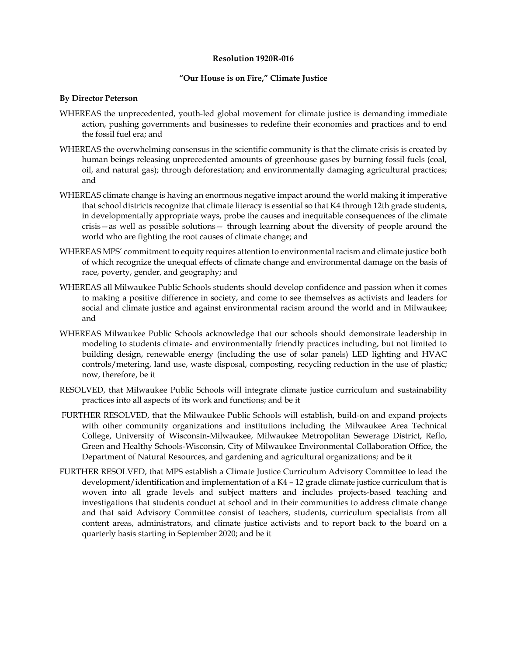## **Resolution 1920R-016**

## **"Our House is on Fire," Climate Justice**

## **By Director Peterson**

- WHEREAS the unprecedented, youth-led global movement for climate justice is demanding immediate action, pushing governments and businesses to redefine their economies and practices and to end the fossil fuel era; and
- WHEREAS the overwhelming consensus in the scientific community is that the climate crisis is created by human beings releasing unprecedented amounts of greenhouse gases by burning fossil fuels (coal, oil, and natural gas); through deforestation; and environmentally damaging agricultural practices; and
- WHEREAS climate change is having an enormous negative impact around the world making it imperative that school districts recognize that climate literacy is essential so that K4 through 12th grade students, in developmentally appropriate ways, probe the causes and inequitable consequences of the climate crisis—as well as possible solutions— through learning about the diversity of people around the world who are fighting the root causes of climate change; and
- WHEREAS MPS' commitment to equity requires attention to environmental racism and climate justice both of which recognize the unequal effects of climate change and environmental damage on the basis of race, poverty, gender, and geography; and
- WHEREAS all Milwaukee Public Schools students should develop confidence and passion when it comes to making a positive difference in society, and come to see themselves as activists and leaders for social and climate justice and against environmental racism around the world and in Milwaukee; and
- WHEREAS Milwaukee Public Schools acknowledge that our schools should demonstrate leadership in modeling to students climate- and environmentally friendly practices including, but not limited to building design, renewable energy (including the use of solar panels) LED lighting and HVAC controls/metering, land use, waste disposal, composting, recycling reduction in the use of plastic; now, therefore, be it
- RESOLVED, that Milwaukee Public Schools will integrate climate justice curriculum and sustainability practices into all aspects of its work and functions; and be it
- FURTHER RESOLVED, that the Milwaukee Public Schools will establish, build-on and expand projects with other community organizations and institutions including the Milwaukee Area Technical College, University of Wisconsin-Milwaukee, Milwaukee Metropolitan Sewerage District, Reflo, Green and Healthy Schools-Wisconsin, City of Milwaukee Environmental Collaboration Office, the Department of Natural Resources, and gardening and agricultural organizations; and be it
- FURTHER RESOLVED, that MPS establish a Climate Justice Curriculum Advisory Committee to lead the development/identification and implementation of a K4 – 12 grade climate justice curriculum that is woven into all grade levels and subject matters and includes projects-based teaching and investigations that students conduct at school and in their communities to address climate change and that said Advisory Committee consist of teachers, students, curriculum specialists from all content areas, administrators, and climate justice activists and to report back to the board on a quarterly basis starting in September 2020; and be it